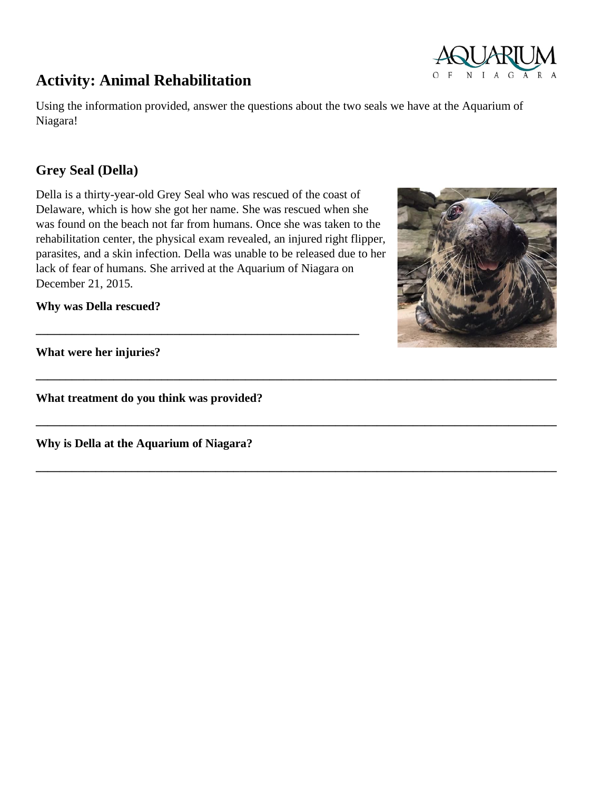# **Activity: Animal Rehabilitation**

Using the information provided, answer the questions about the two seals we have at the Aquarium of Niagara!

**\_\_\_\_\_\_\_\_\_\_\_\_\_\_\_\_\_\_\_\_\_\_\_\_\_\_\_\_\_\_\_\_\_\_\_\_\_\_\_\_\_\_\_\_\_\_\_\_\_\_\_\_\_\_\_\_\_\_\_\_\_\_\_\_\_\_\_\_\_\_\_\_\_\_\_\_\_\_\_\_\_\_\_\_\_\_\_**

**\_\_\_\_\_\_\_\_\_\_\_\_\_\_\_\_\_\_\_\_\_\_\_\_\_\_\_\_\_\_\_\_\_\_\_\_\_\_\_\_\_\_\_\_\_\_\_\_\_\_\_\_\_\_\_\_\_\_\_\_\_\_\_\_\_\_\_\_\_\_\_\_\_\_\_\_\_\_\_\_\_\_\_\_\_\_\_**

**\_\_\_\_\_\_\_\_\_\_\_\_\_\_\_\_\_\_\_\_\_\_\_\_\_\_\_\_\_\_\_\_\_\_\_\_\_\_\_\_\_\_\_\_\_\_\_\_\_\_\_\_\_\_\_\_\_\_\_\_\_\_\_\_\_\_\_\_\_\_\_\_\_\_\_\_\_\_\_\_\_\_\_\_\_\_\_**

## **Grey Seal (Della)**

Della is a thirty-year-old Grey Seal who was rescued of the coast of Delaware, which is how she got her name. She was rescued when she was found on the beach not far from humans. Once she was taken to the rehabilitation center, the physical exam revealed, an injured right flipper, parasites, and a skin infection. Della was unable to be released due to her lack of fear of humans. She arrived at the Aquarium of Niagara on December 21, 2015.

**\_\_\_\_\_\_\_\_\_\_\_\_\_\_\_\_\_\_\_\_\_\_\_\_\_\_\_\_\_\_\_\_\_\_\_\_\_\_\_\_\_\_\_\_\_\_\_\_\_\_\_\_\_\_**

**Why was Della rescued?** 

**What were her injuries?**

**What treatment do you think was provided?**

**Why is Della at the Aquarium of Niagara?**